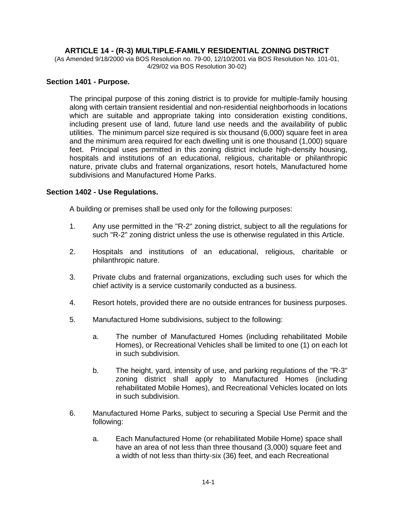## **ARTICLE 14 - (R-3) MULTIPLE-FAMILY RESIDENTIAL ZONING DISTRICT**

(As Amended 9/18/2000 via BOS Resolution no. 79-00, 12/10/2001 via BOS Resolution No. 101-01, 4/29/02 via BOS Resolution 30-02)

#### **Section 1401 - Purpose.**

The principal purpose of this zoning district is to provide for multiple-family housing along with certain transient residential and non-residential neighborhoods in locations which are suitable and appropriate taking into consideration existing conditions, including present use of land, future land use needs and the availability of public utilities. The minimum parcel size required is six thousand (6,000) square feet in area and the minimum area required for each dwelling unit is one thousand (1,000) square feet. Principal uses permitted in this zoning district include high-density housing, hospitals and institutions of an educational, religious, charitable or philanthropic nature, private clubs and fraternal organizations, resort hotels, Manufactured home subdivisions and Manufactured Home Parks.

### **Section 1402 - Use Regulations.**

A building or premises shall be used only for the following purposes:

- 1. Any use permitted in the "R-2" zoning district, subject to all the regulations for such "R-2" zoning district unless the use is otherwise regulated in this Article.
- 2. Hospitals and institutions of an educational, religious, charitable or philanthropic nature.
- 3. Private clubs and fraternal organizations, excluding such uses for which the chief activity is a service customarily conducted as a business.
- 4. Resort hotels, provided there are no outside entrances for business purposes.
- 5. Manufactured Home subdivisions, subject to the following:
	- a. The number of Manufactured Homes (including rehabilitated Mobile Homes), or Recreational Vehicles shall be limited to one (1) on each lot in such subdivision.
	- b. The height, yard, intensity of use, and parking regulations of the "R-3" zoning district shall apply to Manufactured Homes (including rehabilitated Mobile Homes), and Recreational Vehicles located on lots in such subdivision.
- 6. Manufactured Home Parks, subject to securing a Special Use Permit and the following:
	- a. Each Manufactured Home (or rehabilitated Mobile Home) space shall have an area of not less than three thousand (3,000) square feet and a width of not less than thirty-six (36) feet, and each Recreational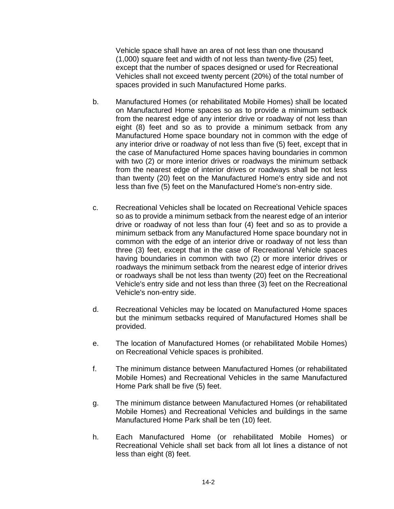Vehicle space shall have an area of not less than one thousand (1,000) square feet and width of not less than twenty-five (25) feet, except that the number of spaces designed or used for Recreational Vehicles shall not exceed twenty percent (20%) of the total number of spaces provided in such Manufactured Home parks.

- b. Manufactured Homes (or rehabilitated Mobile Homes) shall be located on Manufactured Home spaces so as to provide a minimum setback from the nearest edge of any interior drive or roadway of not less than eight (8) feet and so as to provide a minimum setback from any Manufactured Home space boundary not in common with the edge of any interior drive or roadway of not less than five (5) feet, except that in the case of Manufactured Home spaces having boundaries in common with two (2) or more interior drives or roadways the minimum setback from the nearest edge of interior drives or roadways shall be not less than twenty (20) feet on the Manufactured Home's entry side and not less than five (5) feet on the Manufactured Home's non-entry side.
- c. Recreational Vehicles shall be located on Recreational Vehicle spaces so as to provide a minimum setback from the nearest edge of an interior drive or roadway of not less than four (4) feet and so as to provide a minimum setback from any Manufactured Home space boundary not in common with the edge of an interior drive or roadway of not less than three (3) feet, except that in the case of Recreational Vehicle spaces having boundaries in common with two (2) or more interior drives or roadways the minimum setback from the nearest edge of interior drives or roadways shall be not less than twenty (20) feet on the Recreational Vehicle's entry side and not less than three (3) feet on the Recreational Vehicle's non-entry side.
- d. Recreational Vehicles may be located on Manufactured Home spaces but the minimum setbacks required of Manufactured Homes shall be provided.
- e. The location of Manufactured Homes (or rehabilitated Mobile Homes) on Recreational Vehicle spaces is prohibited.
- f. The minimum distance between Manufactured Homes (or rehabilitated Mobile Homes) and Recreational Vehicles in the same Manufactured Home Park shall be five (5) feet.
- g. The minimum distance between Manufactured Homes (or rehabilitated Mobile Homes) and Recreational Vehicles and buildings in the same Manufactured Home Park shall be ten (10) feet.
- h. Each Manufactured Home (or rehabilitated Mobile Homes) or Recreational Vehicle shall set back from all lot lines a distance of not less than eight (8) feet.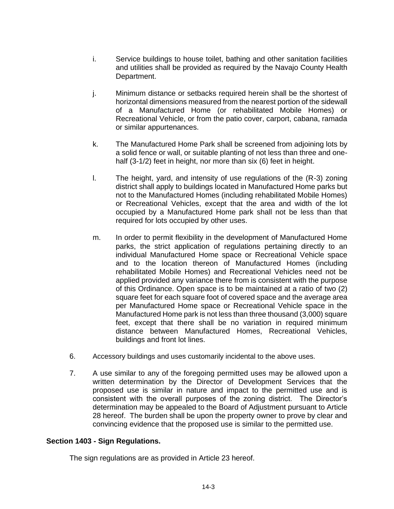- i. Service buildings to house toilet, bathing and other sanitation facilities and utilities shall be provided as required by the Navajo County Health Department.
- j. Minimum distance or setbacks required herein shall be the shortest of horizontal dimensions measured from the nearest portion of the sidewall of a Manufactured Home (or rehabilitated Mobile Homes) or Recreational Vehicle, or from the patio cover, carport, cabana, ramada or similar appurtenances.
- k. The Manufactured Home Park shall be screened from adjoining lots by a solid fence or wall, or suitable planting of not less than three and onehalf (3-1/2) feet in height, nor more than six (6) feet in height.
- l. The height, yard, and intensity of use regulations of the (R-3) zoning district shall apply to buildings located in Manufactured Home parks but not to the Manufactured Homes (including rehabilitated Mobile Homes) or Recreational Vehicles, except that the area and width of the lot occupied by a Manufactured Home park shall not be less than that required for lots occupied by other uses.
- m. In order to permit flexibility in the development of Manufactured Home parks, the strict application of regulations pertaining directly to an individual Manufactured Home space or Recreational Vehicle space and to the location thereon of Manufactured Homes (including rehabilitated Mobile Homes) and Recreational Vehicles need not be applied provided any variance there from is consistent with the purpose of this Ordinance. Open space is to be maintained at a ratio of two (2) square feet for each square foot of covered space and the average area per Manufactured Home space or Recreational Vehicle space in the Manufactured Home park is not less than three thousand (3,000) square feet, except that there shall be no variation in required minimum distance between Manufactured Homes, Recreational Vehicles, buildings and front lot lines.
- 6. Accessory buildings and uses customarily incidental to the above uses.
- 7. A use similar to any of the foregoing permitted uses may be allowed upon a written determination by the Director of Development Services that the proposed use is similar in nature and impact to the permitted use and is consistent with the overall purposes of the zoning district. The Director's determination may be appealed to the Board of Adjustment pursuant to Article 28 hereof. The burden shall be upon the property owner to prove by clear and convincing evidence that the proposed use is similar to the permitted use.

## **Section 1403 - Sign Regulations.**

The sign regulations are as provided in Article 23 hereof.